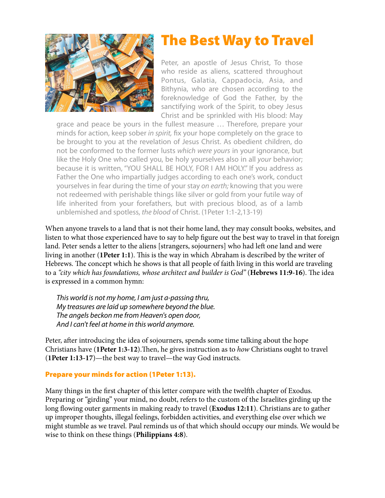

# The Best Way to Travel

Peter, an apostle of Jesus Christ, To those who reside as aliens, scattered throughout Pontus, Galatia, Cappadocia, Asia, and Bithynia, who are chosen according to the foreknowledge of God the Father, by the sanctifying work of the Spirit, to obey Jesus Christ and be sprinkled with His blood: May

grace and peace be yours in the fullest measure … Therefore, prepare your minds for action, keep sober *in spirit,* fix your hope completely on the grace to be brought to you at the revelation of Jesus Christ. As obedient children, do not be conformed to the former lusts *which were yours* in your ignorance, but like the Holy One who called you, be holy yourselves also in all *your* behavior; because it is written, "YOU SHALL BE HOLY, FOR I AM HOLY." If you address as Father the One who impartially judges according to each one's work, conduct yourselves in fear during the time of your stay *on earth;* knowing that you were not redeemed with perishable things like silver or gold from your futile way of life inherited from your forefathers, but with precious blood, as of a lamb unblemished and spotless, *the blood* of Christ. (1Peter 1:1-2,13-19)

When anyone travels to a land that is not their home land, they may consult books, websites, and listen to what those experienced have to say to help fgure out the best way to travel in that foreign land. Peter sends a letter to the aliens [strangers, sojourners] who had left one land and were living in another (1Peter 1:1). This is the way in which Abraham is described by the writer of Hebrews. The concept which he shows is that all people of faith living in this world are traveling to a "city which has foundations, whose architect and builder is God" (**Hebrews 11:9-16**). The idea is expressed in a common hymn:

*This world is not my home, I am just a-passing thru, My treasures are laid up somewhere beyond the blue. The angels beckon me from Heaven's open door, And I can't feel at home in this world anymore.*

Peter, after introducing the idea of sojourners, spends some time talking about the hope Christians have (1Peter 1:3-12). Then, he gives instruction as to *how* Christians ought to travel (**1Peter 1:13-17**)—the best way to travel—the way God instructs.

# Prepare your minds for action (1Peter 1:13).

Many things in the frst chapter of this letter compare with the twelfh chapter of Exodus. Preparing or "girding" your mind, no doubt, refers to the custom of the Israelites girding up the long flowing outer garments in making ready to travel (**Exodus 12:11**). Christians are to gather up improper thoughts, illegal feelings, forbidden activities, and everything else over which we might stumble as we travel. Paul reminds us of that which should occupy our minds. We would be wise to think on these things (**Philippians 4:8**).